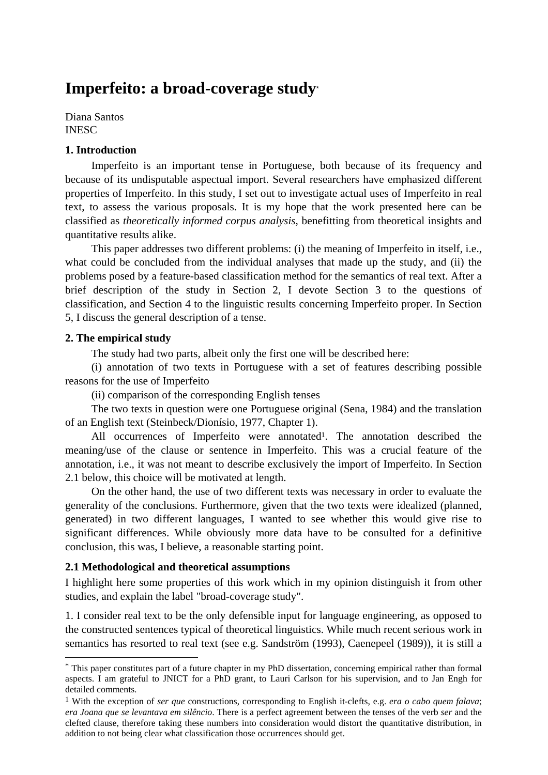# **Imperfeito: a broad-coverage study**\*

Diana Santos **INESC** 

# **1. Introduction**

Imperfeito is an important tense in Portuguese, both because of its frequency and because of its undisputable aspectual import. Several researchers have emphasized different properties of Imperfeito. In this study, I set out to investigate actual uses of Imperfeito in real text, to assess the various proposals. It is my hope that the work presented here can be classified as *theoretically informed corpus analysis*, benefitting from theoretical insights and quantitative results alike.

This paper addresses two different problems: (i) the meaning of Imperfeito in itself, i.e., what could be concluded from the individual analyses that made up the study, and (ii) the problems posed by a feature-based classification method for the semantics of real text. After a brief description of the study in Section 2, I devote Section 3 to the questions of classification, and Section 4 to the linguistic results concerning Imperfeito proper. In Section 5, I discuss the general description of a tense.

## **2. The empirical study**

1

The study had two parts, albeit only the first one will be described here:

(i) annotation of two texts in Portuguese with a set of features describing possible reasons for the use of Imperfeito

(ii) comparison of the corresponding English tenses

The two texts in question were one Portuguese original (Sena, 1984) and the translation of an English text (Steinbeck/Dionísio, 1977, Chapter 1).

All occurrences of Imperfeito were annotated<sup>1</sup>. The annotation described the meaning/use of the clause or sentence in Imperfeito. This was a crucial feature of the annotation, i.e., it was not meant to describe exclusively the import of Imperfeito. In Section 2.1 below, this choice will be motivated at length.

On the other hand, the use of two different texts was necessary in order to evaluate the generality of the conclusions. Furthermore, given that the two texts were idealized (planned, generated) in two different languages, I wanted to see whether this would give rise to significant differences. While obviously more data have to be consulted for a definitive conclusion, this was, I believe, a reasonable starting point.

# **2.1 Methodological and theoretical assumptions**

I highlight here some properties of this work which in my opinion distinguish it from other studies, and explain the label "broad-coverage study".

1. I consider real text to be the only defensible input for language engineering, as opposed to the constructed sentences typical of theoretical linguistics. While much recent serious work in semantics has resorted to real text (see e.g. Sandström (1993), Caenepeel (1989)), it is still a

<sup>\*</sup> This paper constitutes part of a future chapter in my PhD dissertation, concerning empirical rather than formal aspects. I am grateful to JNICT for a PhD grant, to Lauri Carlson for his supervision, and to Jan Engh for detailed comments.

<sup>1</sup> With the exception of *ser que* constructions, corresponding to English it-clefts, e.g. *era o cabo quem falava*; *era Joana que se levantava em silêncio*. There is a perfect agreement between the tenses of the verb *ser* and the clefted clause, therefore taking these numbers into consideration would distort the quantitative distribution, in addition to not being clear what classification those occurrences should get.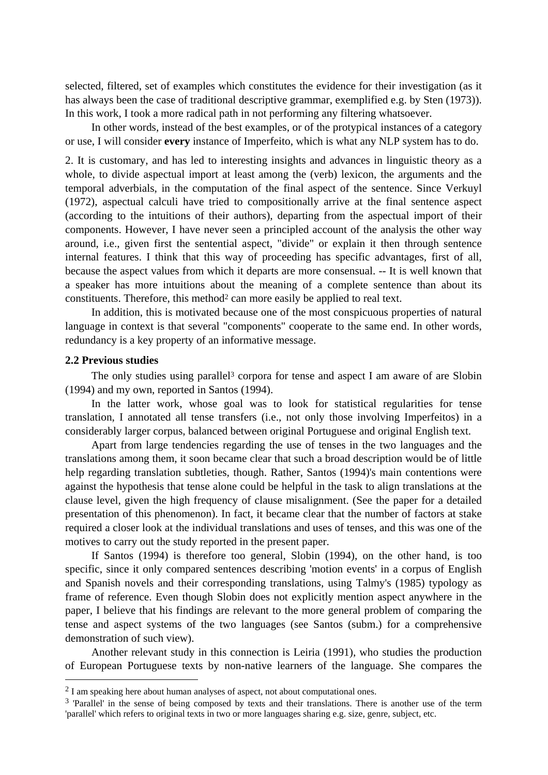selected, filtered, set of examples which constitutes the evidence for their investigation (as it has always been the case of traditional descriptive grammar, exemplified e.g. by Sten (1973)). In this work, I took a more radical path in not performing any filtering whatsoever.

In other words, instead of the best examples, or of the protypical instances of a category or use, I will consider **every** instance of Imperfeito, which is what any NLP system has to do.

2. It is customary, and has led to interesting insights and advances in linguistic theory as a whole, to divide aspectual import at least among the (verb) lexicon, the arguments and the temporal adverbials, in the computation of the final aspect of the sentence. Since Verkuyl (1972), aspectual calculi have tried to compositionally arrive at the final sentence aspect (according to the intuitions of their authors), departing from the aspectual import of their components. However, I have never seen a principled account of the analysis the other way around, i.e., given first the sentential aspect, "divide" or explain it then through sentence internal features. I think that this way of proceeding has specific advantages, first of all, because the aspect values from which it departs are more consensual. -- It is well known that a speaker has more intuitions about the meaning of a complete sentence than about its constituents. Therefore, this method<sup>2</sup> can more easily be applied to real text.

In addition, this is motivated because one of the most conspicuous properties of natural language in context is that several "components" cooperate to the same end. In other words, redundancy is a key property of an informative message.

#### **2.2 Previous studies**

1

The only studies using parallel<sup>3</sup> corpora for tense and aspect I am aware of are Slobin (1994) and my own, reported in Santos (1994).

In the latter work, whose goal was to look for statistical regularities for tense translation, I annotated all tense transfers (i.e., not only those involving Imperfeitos) in a considerably larger corpus, balanced between original Portuguese and original English text.

Apart from large tendencies regarding the use of tenses in the two languages and the translations among them, it soon became clear that such a broad description would be of little help regarding translation subtleties, though. Rather, Santos (1994)'s main contentions were against the hypothesis that tense alone could be helpful in the task to align translations at the clause level, given the high frequency of clause misalignment. (See the paper for a detailed presentation of this phenomenon). In fact, it became clear that the number of factors at stake required a closer look at the individual translations and uses of tenses, and this was one of the motives to carry out the study reported in the present paper.

If Santos (1994) is therefore too general, Slobin (1994), on the other hand, is too specific, since it only compared sentences describing 'motion events' in a corpus of English and Spanish novels and their corresponding translations, using Talmy's (1985) typology as frame of reference. Even though Slobin does not explicitly mention aspect anywhere in the paper, I believe that his findings are relevant to the more general problem of comparing the tense and aspect systems of the two languages (see Santos (subm.) for a comprehensive demonstration of such view).

Another relevant study in this connection is Leiria (1991), who studies the production of European Portuguese texts by non-native learners of the language. She compares the

<sup>&</sup>lt;sup>2</sup> I am speaking here about human analyses of aspect, not about computational ones.

<sup>&</sup>lt;sup>3</sup> 'Parallel' in the sense of being composed by texts and their translations. There is another use of the term 'parallel' which refers to original texts in two or more languages sharing e.g. size, genre, subject, etc.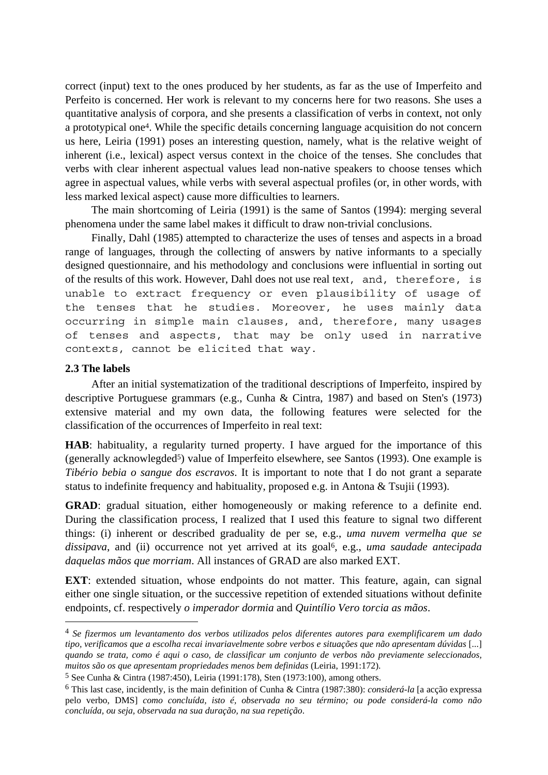correct (input) text to the ones produced by her students, as far as the use of Imperfeito and Perfeito is concerned. Her work is relevant to my concerns here for two reasons. She uses a quantitative analysis of corpora, and she presents a classification of verbs in context, not only a prototypical one4. While the specific details concerning language acquisition do not concern us here, Leiria (1991) poses an interesting question, namely, what is the relative weight of inherent (i.e., lexical) aspect versus context in the choice of the tenses. She concludes that verbs with clear inherent aspectual values lead non-native speakers to choose tenses which agree in aspectual values, while verbs with several aspectual profiles (or, in other words, with less marked lexical aspect) cause more difficulties to learners.

The main shortcoming of Leiria (1991) is the same of Santos (1994): merging several phenomena under the same label makes it difficult to draw non-trivial conclusions.

Finally, Dahl (1985) attempted to characterize the uses of tenses and aspects in a broad range of languages, through the collecting of answers by native informants to a specially designed questionnaire, and his methodology and conclusions were influential in sorting out of the results of this work. However, Dahl does not use real text, and, therefore, is unable to extract frequency or even plausibility of usage of the tenses that he studies. Moreover, he uses mainly data occurring in simple main clauses, and, therefore, many usages of tenses and aspects, that may be only used in narrative contexts, cannot be elicited that way.

#### **2.3 The labels**

1

After an initial systematization of the traditional descriptions of Imperfeito, inspired by descriptive Portuguese grammars (e.g., Cunha & Cintra, 1987) and based on Sten's (1973) extensive material and my own data, the following features were selected for the classification of the occurrences of Imperfeito in real text:

**HAB**: habituality, a regularity turned property. I have argued for the importance of this (generally acknowlegded<sup>5</sup>) value of Imperfeito elsewhere, see Santos (1993). One example is *Tibério bebia o sangue dos escravos*. It is important to note that I do not grant a separate status to indefinite frequency and habituality, proposed e.g. in Antona & Tsujii (1993).

**GRAD**: gradual situation, either homogeneously or making reference to a definite end. During the classification process, I realized that I used this feature to signal two different things: (i) inherent or described graduality de per se, e.g., *uma nuvem vermelha que se dissipava*, and (ii) occurrence not yet arrived at its goal6, e.g., *uma saudade antecipada daquelas mãos que morriam*. All instances of GRAD are also marked EXT.

**EXT**: extended situation, whose endpoints do not matter. This feature, again, can signal either one single situation, or the successive repetition of extended situations without definite endpoints, cf. respectively *o imperador dormia* and *Quintílio Vero torcia as mãos*.

<sup>4</sup> *Se fizermos um levantamento dos verbos utilizados pelos diferentes autores para exemplificarem um dado tipo, verificamos que a escolha recai invariavelmente sobre verbos e situações que não apresentam dúvidas* [...] *quando se trata, como é aqui o caso, de classificar um conjunto de verbos não previamente seleccionados, muitos são os que apresentam propriedades menos bem definidas* (Leiria, 1991:172).

<sup>5</sup> See Cunha & Cintra (1987:450), Leiria (1991:178), Sten (1973:100), among others.

<sup>6</sup> This last case, incidently, is the main definition of Cunha & Cintra (1987:380): *considerá-la* [a acção expressa pelo verbo, DMS] *como concluída, isto é, observada no seu término; ou pode considerá-la como não concluída, ou seja, observada na sua duração, na sua repetição*.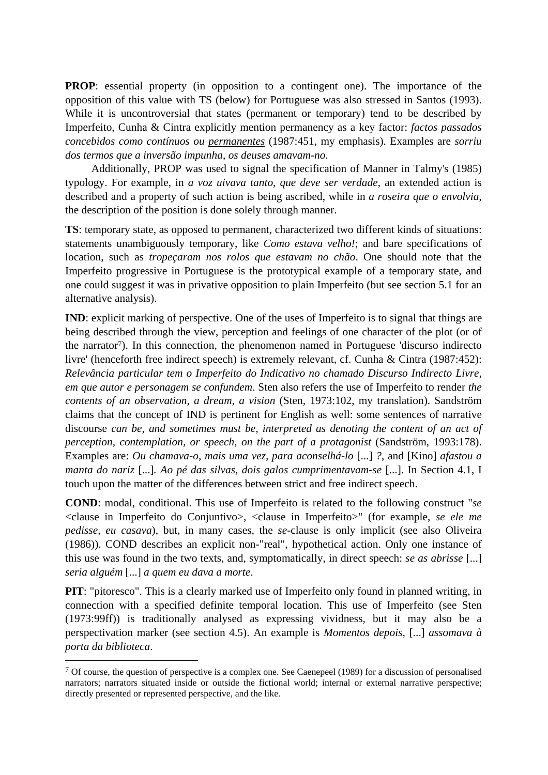**PROP**: essential property (in opposition to a contingent one). The importance of the opposition of this value with TS (below) for Portuguese was also stressed in Santos (1993). While it is uncontroversial that states (permanent or temporary) tend to be described by Imperfeito, Cunha & Cintra explicitly mention permanency as a key factor: *factos passados concebidos como contínuos ou permanentes* (1987:451, my emphasis). Examples are *sorriu dos termos que a inversão impunha*, *os deuses amavam-no*.

Additionally, PROP was used to signal the specification of Manner in Talmy's (1985) typology. For example, in *a voz uivava tanto, que deve ser verdade*, an extended action is described and a property of such action is being ascribed, while in *a roseira que o envolvia*, the description of the position is done solely through manner.

**TS**: temporary state, as opposed to permanent, characterized two different kinds of situations: statements unambiguously temporary, like *Como estava velho!*; and bare specifications of location, such as *tropeçaram nos rolos que estavam no chão*. One should note that the Imperfeito progressive in Portuguese is the prototypical example of a temporary state, and one could suggest it was in privative opposition to plain Imperfeito (but see section 5.1 for an alternative analysis).

**IND**: explicit marking of perspective. One of the uses of Imperfeito is to signal that things are being described through the view, perception and feelings of one character of the plot (or of the narrator7). In this connection, the phenomenon named in Portuguese 'discurso indirecto livre' (henceforth free indirect speech) is extremely relevant, cf. Cunha & Cintra (1987:452): *Relevância particular tem o Imperfeito do Indicativo no chamado Discurso Indirecto Livre, em que autor e personagem se confundem*. Sten also refers the use of Imperfeito to render *the contents of an observation, a dream, a vision* (Sten, 1973:102, my translation). Sandström claims that the concept of IND is pertinent for English as well: some sentences of narrative discourse *can be, and sometimes must be, interpreted as denoting the content of an act of perception, contemplation, or speech, on the part of a protagonist* (Sandström, 1993:178). Examples are: *Ou chamava-o, mais uma vez, para aconselhá-lo* [...] *?*, and [Kino] *afastou a manta do nariz* [...]*. Ao pé das silvas, dois galos cumprimentavam-se* [...]. In Section 4.1, I touch upon the matter of the differences between strict and free indirect speech.

**COND**: modal, conditional. This use of Imperfeito is related to the following construct "*se* <clause in Imperfeito do Conjuntivo>, <clause in Imperfeito>" (for example, *se ele me pedisse, eu casava*), but, in many cases, the *se*-clause is only implicit (see also Oliveira (1986)). COND describes an explicit non-"real", hypothetical action. Only one instance of this use was found in the two texts, and, symptomatically, in direct speech: *se as abrisse* [...] *seria alguém* [...] *a quem eu dava a morte*.

**PIT**: "pitoresco". This is a clearly marked use of Imperfeito only found in planned writing, in connection with a specified definite temporal location. This use of Imperfeito (see Sten (1973:99ff)) is traditionally analysed as expressing vividness, but it may also be a perspectivation marker (see section 4.5). An example is *Momentos depois,* [...] *assomava à porta da biblioteca*.

<sup>7</sup> Of course, the question of perspective is a complex one. See Caenepeel (1989) for a discussion of personalised narrators; narrators situated inside or outside the fictional world; internal or external narrative perspective; directly presented or represented perspective, and the like.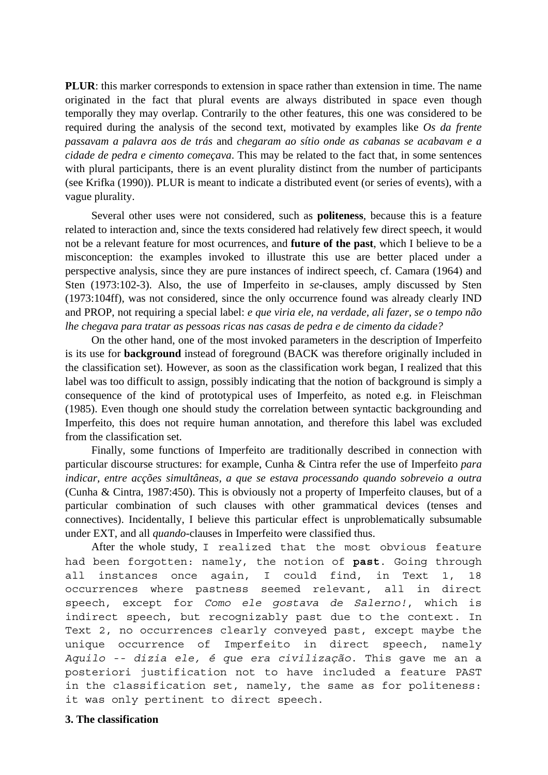**PLUR**: this marker corresponds to extension in space rather than extension in time. The name originated in the fact that plural events are always distributed in space even though temporally they may overlap. Contrarily to the other features, this one was considered to be required during the analysis of the second text, motivated by examples like *Os da frente passavam a palavra aos de trás* and *chegaram ao sítio onde as cabanas se acabavam e a cidade de pedra e cimento começava*. This may be related to the fact that, in some sentences with plural participants, there is an event plurality distinct from the number of participants (see Krifka (1990)). PLUR is meant to indicate a distributed event (or series of events), with a vague plurality.

Several other uses were not considered, such as **politeness**, because this is a feature related to interaction and, since the texts considered had relatively few direct speech, it would not be a relevant feature for most ocurrences, and **future of the past**, which I believe to be a misconception: the examples invoked to illustrate this use are better placed under a perspective analysis, since they are pure instances of indirect speech, cf. Camara (1964) and Sten (1973:102-3). Also, the use of Imperfeito in *se*-clauses, amply discussed by Sten (1973:104ff), was not considered, since the only occurrence found was already clearly IND and PROP, not requiring a special label: *e que viria ele, na verdade, ali fazer, se o tempo não lhe chegava para tratar as pessoas ricas nas casas de pedra e de cimento da cidade?*

On the other hand, one of the most invoked parameters in the description of Imperfeito is its use for **background** instead of foreground (BACK was therefore originally included in the classification set). However, as soon as the classification work began, I realized that this label was too difficult to assign, possibly indicating that the notion of background is simply a consequence of the kind of prototypical uses of Imperfeito, as noted e.g. in Fleischman (1985). Even though one should study the correlation between syntactic backgrounding and Imperfeito, this does not require human annotation, and therefore this label was excluded from the classification set.

Finally, some functions of Imperfeito are traditionally described in connection with particular discourse structures: for example, Cunha & Cintra refer the use of Imperfeito *para indicar, entre acções simultâneas, a que se estava processando quando sobreveio a outra* (Cunha & Cintra, 1987:450). This is obviously not a property of Imperfeito clauses, but of a particular combination of such clauses with other grammatical devices (tenses and connectives). Incidentally, I believe this particular effect is unproblematically subsumable under EXT, and all *quando*-clauses in Imperfeito were classified thus.

After the whole study, I realized that the most obvious feature had been forgotten: namely, the notion of **past**. Going through all instances once again, I could find, in Text 1, 18 occurrences where pastness seemed relevant, all in direct speech, except for *Como ele gostava de Salerno!*, which is indirect speech, but recognizably past due to the context. In Text 2, no occurrences clearly conveyed past, except maybe the unique occurrence of Imperfeito in direct speech, namely *Aquilo -- dizia ele, é que era civilização*. This gave me an a posteriori justification not to have included a feature PAST in the classification set, namely, the same as for politeness: it was only pertinent to direct speech.

## **3. The classification**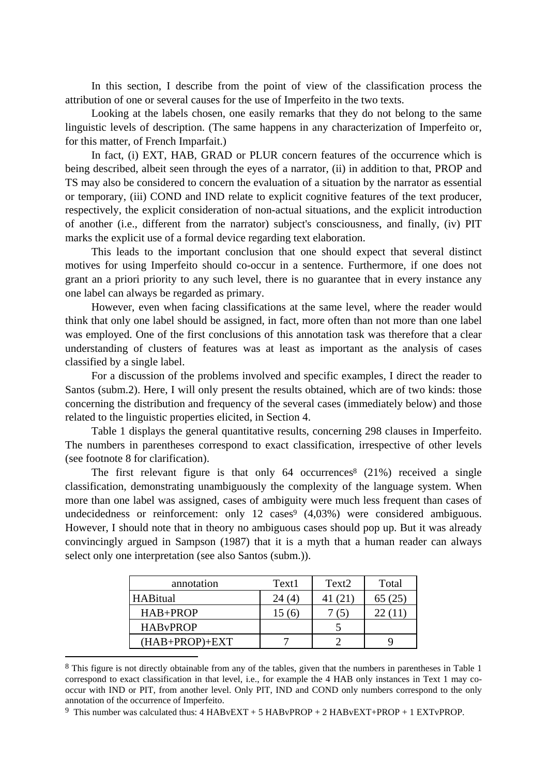In this section, I describe from the point of view of the classification process the attribution of one or several causes for the use of Imperfeito in the two texts.

Looking at the labels chosen, one easily remarks that they do not belong to the same linguistic levels of description. (The same happens in any characterization of Imperfeito or, for this matter, of French Imparfait.)

In fact, (i) EXT, HAB, GRAD or PLUR concern features of the occurrence which is being described, albeit seen through the eyes of a narrator, (ii) in addition to that, PROP and TS may also be considered to concern the evaluation of a situation by the narrator as essential or temporary, (iii) COND and IND relate to explicit cognitive features of the text producer, respectively, the explicit consideration of non-actual situations, and the explicit introduction of another (i.e., different from the narrator) subject's consciousness, and finally, (iv) PIT marks the explicit use of a formal device regarding text elaboration.

This leads to the important conclusion that one should expect that several distinct motives for using Imperfeito should co-occur in a sentence. Furthermore, if one does not grant an a priori priority to any such level, there is no guarantee that in every instance any one label can always be regarded as primary.

However, even when facing classifications at the same level, where the reader would think that only one label should be assigned, in fact, more often than not more than one label was employed. One of the first conclusions of this annotation task was therefore that a clear understanding of clusters of features was at least as important as the analysis of cases classified by a single label.

For a discussion of the problems involved and specific examples, I direct the reader to Santos (subm.2). Here, I will only present the results obtained, which are of two kinds: those concerning the distribution and frequency of the several cases (immediately below) and those related to the linguistic properties elicited, in Section 4.

Table 1 displays the general quantitative results, concerning 298 clauses in Imperfeito. The numbers in parentheses correspond to exact classification, irrespective of other levels (see footnote 8 for clarification).

The first relevant figure is that only  $64$  occurrences<sup>8</sup> (21%) received a single classification, demonstrating unambiguously the complexity of the language system. When more than one label was assigned, cases of ambiguity were much less frequent than cases of undecidedness or reinforcement: only  $12 \text{ cases}^9$   $(4,03\%)$  were considered ambiguous. However, I should note that in theory no ambiguous cases should pop up. But it was already convincingly argued in Sampson (1987) that it is a myth that a human reader can always select only one interpretation (see also Santos (subm.)).

| annotation       | Text1  | Text <sub>2</sub> | Total  |
|------------------|--------|-------------------|--------|
| <b>HABitual</b>  | 24(4)  | 41 (21)           | 65(25) |
| HAB+PROP         | 15 (6) |                   |        |
| <b>HABvPROP</b>  |        |                   |        |
| $(HAB+PROP)+EXT$ |        |                   |        |

<sup>&</sup>lt;sup>8</sup> This figure is not directly obtainable from any of the tables, given that the numbers in parentheses in Table 1 correspond to exact classification in that level, i.e., for example the 4 HAB only instances in Text 1 may cooccur with IND or PIT, from another level. Only PIT, IND and COND only numbers correspond to the only annotation of the occurrence of Imperfeito.

<sup>9</sup> This number was calculated thus: 4 HABvEXT + 5 HABvPROP + 2 HABvEXT+PROP + 1 EXTvPROP.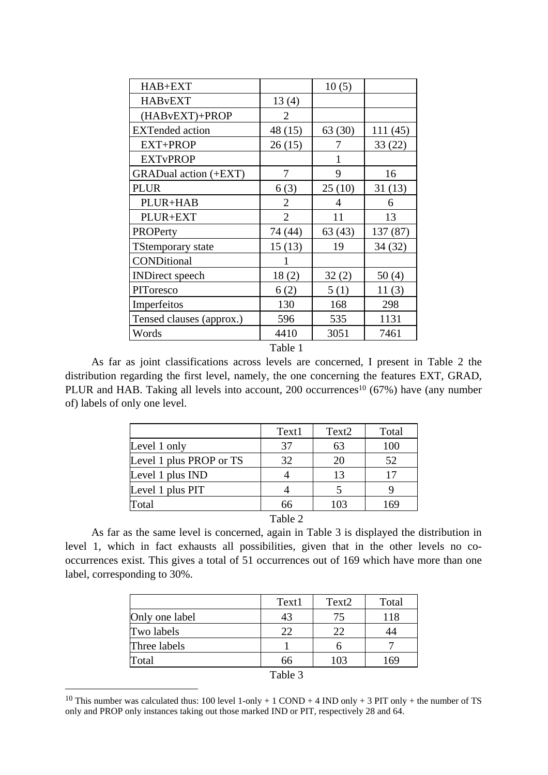| HAB+EXT                  |                | 10(5)  |          |
|--------------------------|----------------|--------|----------|
| <b>HABvEXT</b>           | 13(4)          |        |          |
| (HABvEXT)+PROP           | $\overline{2}$ |        |          |
| <b>EXTended</b> action   | 48 (15)        | 63(30) | 111(45)  |
| <b>EXT+PROP</b>          | 26(15)         | 7      | 33(22)   |
| <b>EXTvPROP</b>          |                | 1      |          |
| GRADual action (+EXT)    | 7              | 9      | 16       |
| <b>PLUR</b>              | 6(3)           | 25(10) | 31(13)   |
| PLUR+HAB                 | 2              | 4      | 6        |
| PLUR+EXT                 | $\overline{2}$ | 11     | 13       |
| <b>PROPerty</b>          | 74 (44)        | 63(43) | 137 (87) |
| <b>TStemporary state</b> | 15(13)         | 19     | 34(32)   |
| CONDitional              |                |        |          |
| <b>INDirect</b> speech   | 18(2)          | 32(2)  | 50(4)    |
| PIToresco                | 6(2)           | 5(1)   | 11(3)    |
| Imperfeitos              | 130            | 168    | 298      |
| Tensed clauses (approx.) | 596            | 535    | 1131     |
| Words                    | 4410           | 3051   | 7461     |
|                          | Table 1        |        |          |

As far as joint classifications across levels are concerned, I present in Table 2 the distribution regarding the first level, namely, the one concerning the features EXT, GRAD, PLUR and HAB. Taking all levels into account, 200 occurrences<sup>10</sup> (67%) have (any number of) labels of only one level.

|                         | Text1              | Text <sub>2</sub> | Total |
|-------------------------|--------------------|-------------------|-------|
| Level 1 only            | 37                 | 63                | 100   |
| Level 1 plus PROP or TS | 32                 | 20                | 52    |
| Level 1 plus IND        |                    | 13                | 17    |
| Level 1 plus PIT        |                    |                   |       |
| Total                   | 66                 | 103               | 169   |
|                         | $T = 11$<br>$\sim$ |                   |       |

Table 2

As far as the same level is concerned, again in Table 3 is displayed the distribution in level 1, which in fact exhausts all possibilities, given that in the other levels no cooccurrences exist. This gives a total of 51 occurrences out of 169 which have more than one label, corresponding to 30%.

|                | Text1                             | Text <sub>2</sub> | Total |
|----------------|-----------------------------------|-------------------|-------|
| Only one label | 43                                | 75                | 118   |
| Two labels     | 22                                | 22                |       |
| Three labels   |                                   |                   |       |
| Total          | 66                                | 103               | 169   |
|                | $\mathbf{m}$ 11 $\mathbf{\Omega}$ |                   |       |

Table 3

<sup>&</sup>lt;sup>10</sup> This number was calculated thus: 100 level 1-only + 1 COND + 4 IND only + 3 PIT only + the number of TS only and PROP only instances taking out those marked IND or PIT, respectively 28 and 64.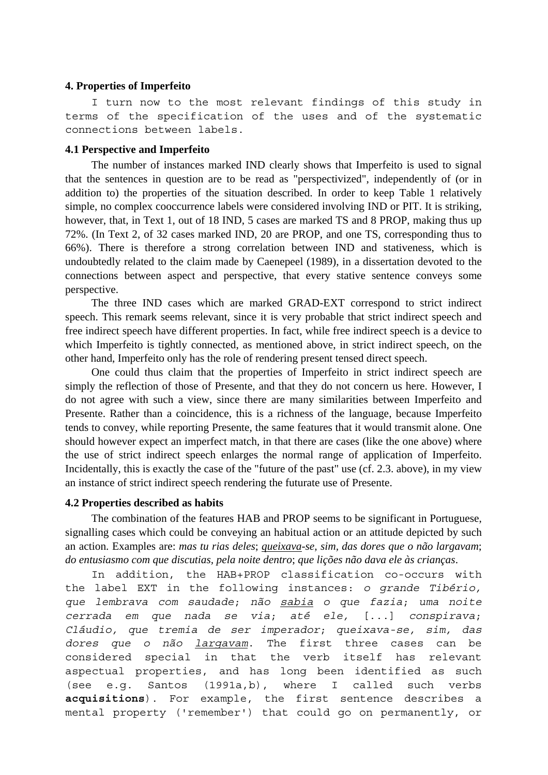#### **4. Properties of Imperfeito**

I turn now to the most relevant findings of this study in terms of the specification of the uses and of the systematic connections between labels.

## **4.1 Perspective and Imperfeito**

The number of instances marked IND clearly shows that Imperfeito is used to signal that the sentences in question are to be read as "perspectivized", independently of (or in addition to) the properties of the situation described. In order to keep Table 1 relatively simple, no complex cooccurrence labels were considered involving IND or PIT. It is striking, however, that, in Text 1, out of 18 IND, 5 cases are marked TS and 8 PROP, making thus up 72%. (In Text 2, of 32 cases marked IND, 20 are PROP, and one TS, corresponding thus to 66%). There is therefore a strong correlation between IND and stativeness, which is undoubtedly related to the claim made by Caenepeel (1989), in a dissertation devoted to the connections between aspect and perspective, that every stative sentence conveys some perspective.

The three IND cases which are marked GRAD-EXT correspond to strict indirect speech. This remark seems relevant, since it is very probable that strict indirect speech and free indirect speech have different properties. In fact, while free indirect speech is a device to which Imperfeito is tightly connected, as mentioned above, in strict indirect speech, on the other hand, Imperfeito only has the role of rendering present tensed direct speech.

One could thus claim that the properties of Imperfeito in strict indirect speech are simply the reflection of those of Presente, and that they do not concern us here. However, I do not agree with such a view, since there are many similarities between Imperfeito and Presente. Rather than a coincidence, this is a richness of the language, because Imperfeito tends to convey, while reporting Presente, the same features that it would transmit alone. One should however expect an imperfect match, in that there are cases (like the one above) where the use of strict indirect speech enlarges the normal range of application of Imperfeito. Incidentally, this is exactly the case of the "future of the past" use (cf. 2.3. above), in my view an instance of strict indirect speech rendering the futurate use of Presente.

#### **4.2 Properties described as habits**

The combination of the features HAB and PROP seems to be significant in Portuguese, signalling cases which could be conveying an habitual action or an attitude depicted by such an action. Examples are: *mas tu rias deles*; *queixava-se, sim, das dores que o não largavam*; *do entusiasmo com que discutias, pela noite dentro*; *que lições não dava ele às crianças*.

In addition, the HAB+PROP classification co-occurs with the label EXT in the following instances: *o grande Tibério, que lembrava com saudade*; *não sabia o que fazia*; *uma noite cerrada em que nada se via*; *até ele,* [...] *conspirava*; *Cláudio, que tremia de ser imperador*; *queixava-se, sim, das dores que o não largavam*. The first three cases can be considered special in that the verb itself has relevant aspectual properties, and has long been identified as such (see e.g. Santos (1991a,b), where I called such verbs **acquisitions**). For example, the first sentence describes a mental property ('remember') that could go on permanently, or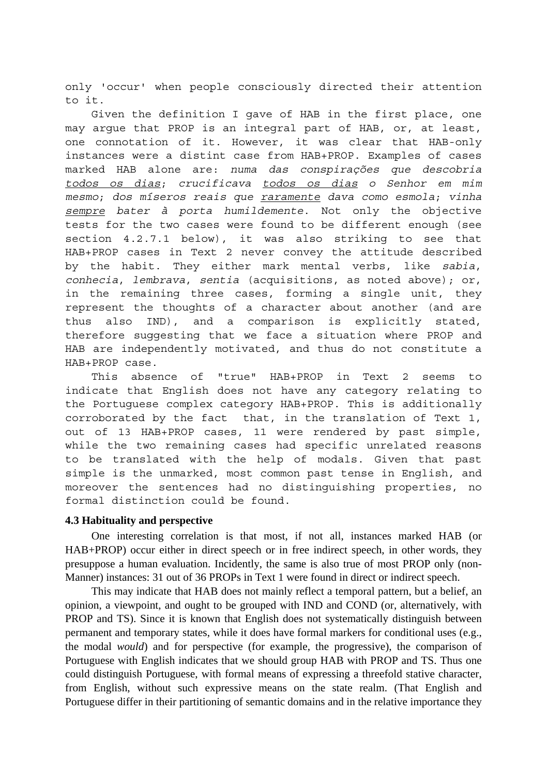only 'occur' when people consciously directed their attention to it.

Given the definition I gave of HAB in the first place, one may argue that PROP is an integral part of HAB, or, at least, one connotation of it. However, it was clear that HAB-only instances were a distint case from HAB+PROP. Examples of cases marked HAB alone are: *numa das conspirações que descobria todos os dias*; *crucificava todos os dias o Senhor em mim mesmo*; *dos míseros reais que raramente dava como esmola*; *vinha sempre bater à porta humildemente*. Not only the objective tests for the two cases were found to be different enough (see section 4.2.7.1 below), it was also striking to see that HAB+PROP cases in Text 2 never convey the attitude described by the habit. They either mark mental verbs, like *sabia*, *conhecia*, *lembrava*, *sentia* (acquisitions, as noted above); or, in the remaining three cases, forming a single unit, they represent the thoughts of a character about another (and are thus also IND), and a comparison is explicitly stated, therefore suggesting that we face a situation where PROP and HAB are independently motivated, and thus do not constitute a HAB+PROP case.

This absence of "true" HAB+PROP in Text 2 seems to indicate that English does not have any category relating to the Portuguese complex category HAB+PROP. This is additionally corroborated by the fact that, in the translation of Text 1, out of 13 HAB+PROP cases, 11 were rendered by past simple, while the two remaining cases had specific unrelated reasons to be translated with the help of modals. Given that past simple is the unmarked, most common past tense in English, and moreover the sentences had no distinguishing properties, no formal distinction could be found.

#### **4.3 Habituality and perspective**

One interesting correlation is that most, if not all, instances marked HAB (or HAB+PROP) occur either in direct speech or in free indirect speech, in other words, they presuppose a human evaluation. Incidently, the same is also true of most PROP only (non-Manner) instances: 31 out of 36 PROPs in Text 1 were found in direct or indirect speech.

This may indicate that HAB does not mainly reflect a temporal pattern, but a belief, an opinion, a viewpoint, and ought to be grouped with IND and COND (or, alternatively, with PROP and TS). Since it is known that English does not systematically distinguish between permanent and temporary states, while it does have formal markers for conditional uses (e.g., the modal *would*) and for perspective (for example, the progressive), the comparison of Portuguese with English indicates that we should group HAB with PROP and TS. Thus one could distinguish Portuguese, with formal means of expressing a threefold stative character, from English, without such expressive means on the state realm. (That English and Portuguese differ in their partitioning of semantic domains and in the relative importance they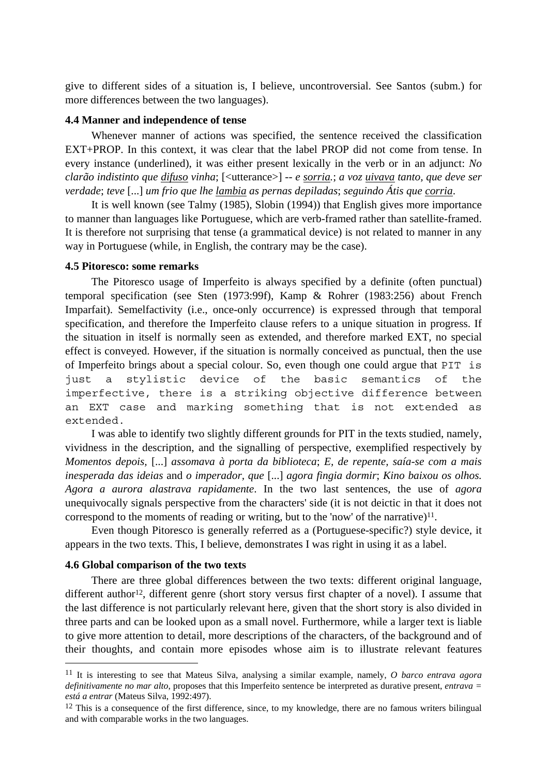give to different sides of a situation is, I believe, uncontroversial. See Santos (subm.) for more differences between the two languages).

## **4.4 Manner and independence of tense**

Whenever manner of actions was specified, the sentence received the classification EXT+PROP. In this context, it was clear that the label PROP did not come from tense. In every instance (underlined), it was either present lexically in the verb or in an adjunct: *No clarão indistinto que difuso vinha*; [<utterance>] *-- e sorria.*; *a voz uivava tanto, que deve ser verdade*; *teve* [...] *um frio que lhe lambia as pernas depiladas*; *seguindo Átis que corria*.

It is well known (see Talmy (1985), Slobin (1994)) that English gives more importance to manner than languages like Portuguese, which are verb-framed rather than satellite-framed. It is therefore not surprising that tense (a grammatical device) is not related to manner in any way in Portuguese (while, in English, the contrary may be the case).

#### **4.5 Pitoresco: some remarks**

The Pitoresco usage of Imperfeito is always specified by a definite (often punctual) temporal specification (see Sten (1973:99f), Kamp & Rohrer (1983:256) about French Imparfait). Semelfactivity (i.e., once-only occurrence) is expressed through that temporal specification, and therefore the Imperfeito clause refers to a unique situation in progress. If the situation in itself is normally seen as extended, and therefore marked EXT, no special effect is conveyed. However, if the situation is normally conceived as punctual, then the use of Imperfeito brings about a special colour. So, even though one could argue that PIT is just a stylistic device of the basic semantics of the imperfective, there is a striking objective difference between an EXT case and marking something that is not extended as extended.

I was able to identify two slightly different grounds for PIT in the texts studied, namely, vividness in the description, and the signalling of perspective, exemplified respectively by *Momentos depois,* [...] *assomava à porta da biblioteca*; *E, de repente, saía-se com a mais inesperada das ideias* and *o imperador, que* [...] *agora fingia dormir*; *Kino baixou os olhos. Agora a aurora alastrava rapidamente*. In the two last sentences, the use of *agora* unequivocally signals perspective from the characters' side (it is not deictic in that it does not correspond to the moments of reading or writing, but to the 'now' of the narrative) $11$ .

Even though Pitoresco is generally referred as a (Portuguese-specific?) style device, it appears in the two texts. This, I believe, demonstrates I was right in using it as a label.

#### **4.6 Global comparison of the two texts**

1

There are three global differences between the two texts: different original language, different author<sup>12</sup>, different genre (short story versus first chapter of a novel). I assume that the last difference is not particularly relevant here, given that the short story is also divided in three parts and can be looked upon as a small novel. Furthermore, while a larger text is liable to give more attention to detail, more descriptions of the characters, of the background and of their thoughts, and contain more episodes whose aim is to illustrate relevant features

<sup>11</sup> It is interesting to see that Mateus Silva, analysing a similar example, namely, *O barco entrava agora definitivamente no mar alto*, proposes that this Imperfeito sentence be interpreted as durative present, *entrava = está a entrar* (Mateus Silva, 1992:497).

<sup>&</sup>lt;sup>12</sup> This is a consequence of the first difference, since, to my knowledge, there are no famous writers bilingual and with comparable works in the two languages.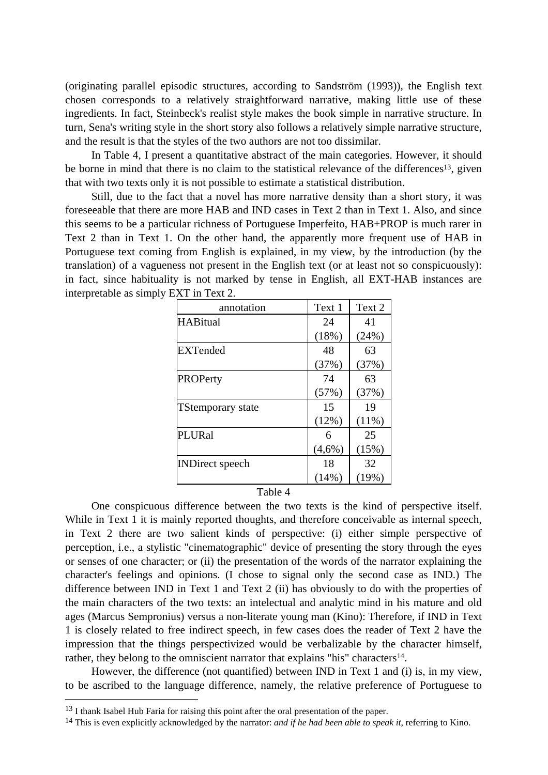(originating parallel episodic structures, according to Sandström (1993)), the English text chosen corresponds to a relatively straightforward narrative, making little use of these ingredients. In fact, Steinbeck's realist style makes the book simple in narrative structure. In turn, Sena's writing style in the short story also follows a relatively simple narrative structure, and the result is that the styles of the two authors are not too dissimilar.

In Table 4, I present a quantitative abstract of the main categories. However, it should be borne in mind that there is no claim to the statistical relevance of the differences<sup>13</sup>, given that with two texts only it is not possible to estimate a statistical distribution.

Still, due to the fact that a novel has more narrative density than a short story, it was foreseeable that there are more HAB and IND cases in Text 2 than in Text 1. Also, and since this seems to be a particular richness of Portuguese Imperfeito, HAB+PROP is much rarer in Text 2 than in Text 1. On the other hand, the apparently more frequent use of HAB in Portuguese text coming from English is explained, in my view, by the introduction (by the translation) of a vagueness not present in the English text (or at least not so conspicuously): in fact, since habituality is not marked by tense in English, all EXT-HAB instances are interpretable as simply EXT in Text 2.

| annotation               | Text 1    | Text 2   |
|--------------------------|-----------|----------|
| <b>HABitual</b>          | 24        | 41       |
|                          | (18%)     | (24%)    |
| <b>EXTended</b>          | 48        | 63       |
|                          | (37%)     | (37%)    |
| PROPerty                 | 74        | 63       |
|                          | (57%)     | (37%)    |
| <b>TStemporary state</b> | 15        | 19       |
|                          | (12%)     | $(11\%)$ |
| PLURal                   | 6         | 25       |
|                          | $(4,6\%)$ | (15%)    |
| <b>INDirect</b> speech   | 18        | 32       |
|                          | (14%)     | (19%)    |

## Table 4

One conspicuous difference between the two texts is the kind of perspective itself. While in Text 1 it is mainly reported thoughts, and therefore conceivable as internal speech, in Text 2 there are two salient kinds of perspective: (i) either simple perspective of perception, i.e., a stylistic "cinematographic" device of presenting the story through the eyes or senses of one character; or (ii) the presentation of the words of the narrator explaining the character's feelings and opinions. (I chose to signal only the second case as IND.) The difference between IND in Text 1 and Text 2 (ii) has obviously to do with the properties of the main characters of the two texts: an intelectual and analytic mind in his mature and old ages (Marcus Sempronius) versus a non-literate young man (Kino): Therefore, if IND in Text 1 is closely related to free indirect speech, in few cases does the reader of Text 2 have the impression that the things perspectivized would be verbalizable by the character himself, rather, they belong to the omniscient narrator that explains "his" characters<sup>14</sup>.

However, the difference (not quantified) between IND in Text 1 and (i) is, in my view, to be ascribed to the language difference, namely, the relative preference of Portuguese to

<sup>&</sup>lt;sup>13</sup> I thank Isabel Hub Faria for raising this point after the oral presentation of the paper.

<sup>14</sup> This is even explicitly acknowledged by the narrator: *and if he had been able to speak it*, referring to Kino.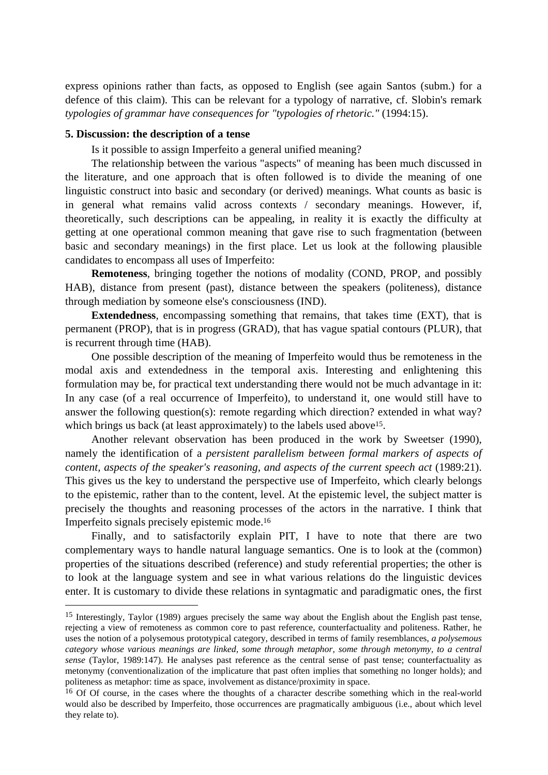express opinions rather than facts, as opposed to English (see again Santos (subm.) for a defence of this claim). This can be relevant for a typology of narrative, cf. Slobin's remark *typologies of grammar have consequences for "typologies of rhetoric."* (1994:15).

#### **5. Discussion: the description of a tense**

1

Is it possible to assign Imperfeito a general unified meaning?

The relationship between the various "aspects" of meaning has been much discussed in the literature, and one approach that is often followed is to divide the meaning of one linguistic construct into basic and secondary (or derived) meanings. What counts as basic is in general what remains valid across contexts / secondary meanings. However, if, theoretically, such descriptions can be appealing, in reality it is exactly the difficulty at getting at one operational common meaning that gave rise to such fragmentation (between basic and secondary meanings) in the first place. Let us look at the following plausible candidates to encompass all uses of Imperfeito:

**Remoteness**, bringing together the notions of modality (COND, PROP, and possibly HAB), distance from present (past), distance between the speakers (politeness), distance through mediation by someone else's consciousness (IND).

**Extendedness**, encompassing something that remains, that takes time (EXT), that is permanent (PROP), that is in progress (GRAD), that has vague spatial contours (PLUR), that is recurrent through time (HAB).

One possible description of the meaning of Imperfeito would thus be remoteness in the modal axis and extendedness in the temporal axis. Interesting and enlightening this formulation may be, for practical text understanding there would not be much advantage in it: In any case (of a real occurrence of Imperfeito), to understand it, one would still have to answer the following question(s): remote regarding which direction? extended in what way? which brings us back (at least approximately) to the labels used above<sup>15</sup>.

Another relevant observation has been produced in the work by Sweetser (1990), namely the identification of a *persistent parallelism between formal markers of aspects of content, aspects of the speaker's reasoning, and aspects of the current speech act* (1989:21). This gives us the key to understand the perspective use of Imperfeito, which clearly belongs to the epistemic, rather than to the content, level. At the epistemic level, the subject matter is precisely the thoughts and reasoning processes of the actors in the narrative. I think that Imperfeito signals precisely epistemic mode.16

Finally, and to satisfactorily explain PIT, I have to note that there are two complementary ways to handle natural language semantics. One is to look at the (common) properties of the situations described (reference) and study referential properties; the other is to look at the language system and see in what various relations do the linguistic devices enter. It is customary to divide these relations in syntagmatic and paradigmatic ones, the first

<sup>15</sup> Interestingly, Taylor (1989) argues precisely the same way about the English about the English past tense, rejecting a view of remoteness as common core to past reference, counterfactuality and politeness. Rather, he uses the notion of a polysemous prototypical category, described in terms of family resemblances, *a polysemous category whose various meanings are linked, some through metaphor, some through metonymy, to a central sense* (Taylor, 1989:147). He analyses past reference as the central sense of past tense; counterfactuality as metonymy (conventionalization of the implicature that past often implies that something no longer holds); and politeness as metaphor: time as space, involvement as distance/proximity in space.

<sup>&</sup>lt;sup>16</sup> Of Of course, in the cases where the thoughts of a character describe something which in the real-world would also be described by Imperfeito, those occurrences are pragmatically ambiguous (i.e., about which level they relate to).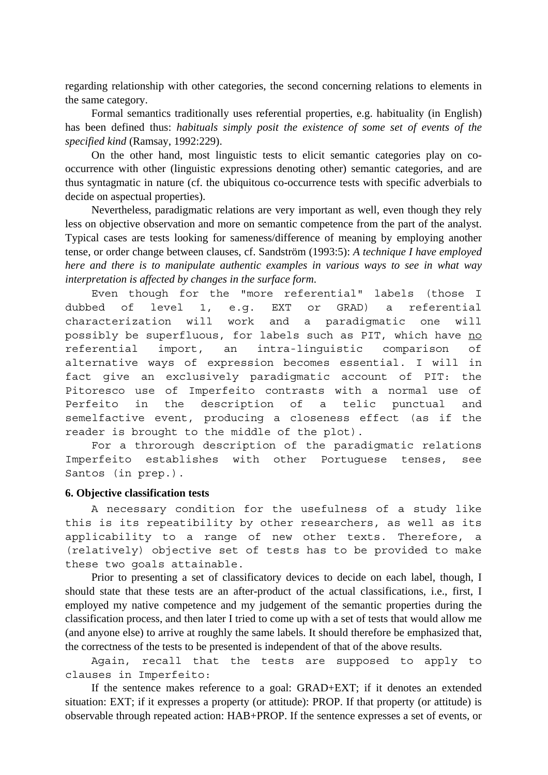regarding relationship with other categories, the second concerning relations to elements in the same category.

Formal semantics traditionally uses referential properties, e.g. habituality (in English) has been defined thus: *habituals simply posit the existence of some set of events of the specified kind* (Ramsay, 1992:229).

On the other hand, most linguistic tests to elicit semantic categories play on cooccurrence with other (linguistic expressions denoting other) semantic categories, and are thus syntagmatic in nature (cf. the ubiquitous co-occurrence tests with specific adverbials to decide on aspectual properties).

Nevertheless, paradigmatic relations are very important as well, even though they rely less on objective observation and more on semantic competence from the part of the analyst. Typical cases are tests looking for sameness/difference of meaning by employing another tense, or order change between clauses, cf. Sandström (1993:5): *A technique I have employed here and there is to manipulate authentic examples in various ways to see in what way interpretation is affected by changes in the surface form*.

Even though for the "more referential" labels (those I dubbed of level 1, e.g. EXT or GRAD) a referential characterization will work and a paradigmatic one will possibly be superfluous, for labels such as PIT, which have no referential import, an intra-linguistic comparison of alternative ways of expression becomes essential. I will in fact give an exclusively paradigmatic account of PIT: the Pitoresco use of Imperfeito contrasts with a normal use of Perfeito in the description of a telic punctual and semelfactive event, producing a closeness effect (as if the reader is brought to the middle of the plot).

For a throrough description of the paradigmatic relations Imperfeito establishes with other Portuguese tenses, see Santos (in prep.).

#### **6. Objective classification tests**

A necessary condition for the usefulness of a study like this is its repeatibility by other researchers, as well as its applicability to a range of new other texts. Therefore, a (relatively) objective set of tests has to be provided to make these two goals attainable.

Prior to presenting a set of classificatory devices to decide on each label, though, I should state that these tests are an after-product of the actual classifications, i.e., first, I employed my native competence and my judgement of the semantic properties during the classification process, and then later I tried to come up with a set of tests that would allow me (and anyone else) to arrive at roughly the same labels. It should therefore be emphasized that, the correctness of the tests to be presented is independent of that of the above results.

Again, recall that the tests are supposed to apply to clauses in Imperfeito:

If the sentence makes reference to a goal: GRAD+EXT; if it denotes an extended situation: EXT; if it expresses a property (or attitude): PROP. If that property (or attitude) is observable through repeated action: HAB+PROP. If the sentence expresses a set of events, or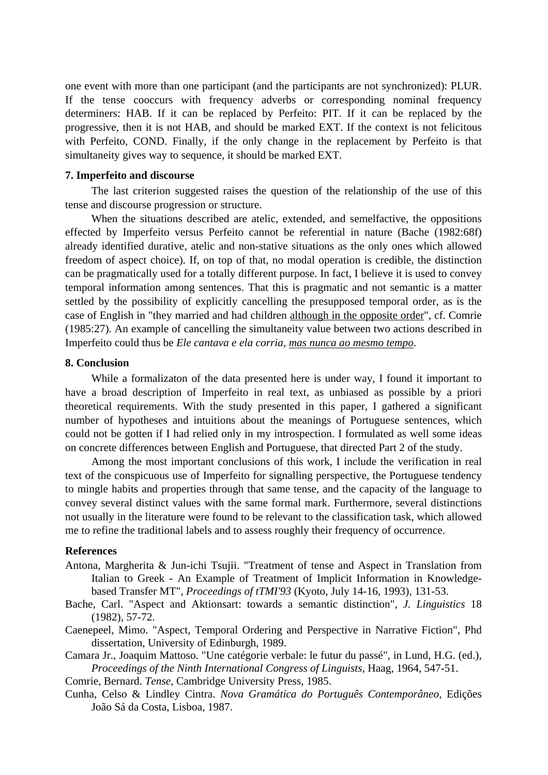one event with more than one participant (and the participants are not synchronized): PLUR. If the tense cooccurs with frequency adverbs or corresponding nominal frequency determiners: HAB. If it can be replaced by Perfeito: PIT. If it can be replaced by the progressive, then it is not HAB, and should be marked EXT. If the context is not felicitous with Perfeito, COND. Finally, if the only change in the replacement by Perfeito is that simultaneity gives way to sequence, it should be marked EXT.

#### **7. Imperfeito and discourse**

The last criterion suggested raises the question of the relationship of the use of this tense and discourse progression or structure.

When the situations described are atelic, extended, and semelfactive, the oppositions effected by Imperfeito versus Perfeito cannot be referential in nature (Bache (1982:68f) already identified durative, atelic and non-stative situations as the only ones which allowed freedom of aspect choice). If, on top of that, no modal operation is credible, the distinction can be pragmatically used for a totally different purpose. In fact, I believe it is used to convey temporal information among sentences. That this is pragmatic and not semantic is a matter settled by the possibility of explicitly cancelling the presupposed temporal order, as is the case of English in "they married and had children although in the opposite order", cf. Comrie (1985:27). An example of cancelling the simultaneity value between two actions described in Imperfeito could thus be *Ele cantava e ela corria, mas nunca ao mesmo tempo*.

#### **8. Conclusion**

While a formalizaton of the data presented here is under way, I found it important to have a broad description of Imperfeito in real text, as unbiased as possible by a priori theoretical requirements. With the study presented in this paper, I gathered a significant number of hypotheses and intuitions about the meanings of Portuguese sentences, which could not be gotten if I had relied only in my introspection. I formulated as well some ideas on concrete differences between English and Portuguese, that directed Part 2 of the study.

Among the most important conclusions of this work, I include the verification in real text of the conspicuous use of Imperfeito for signalling perspective, the Portuguese tendency to mingle habits and properties through that same tense, and the capacity of the language to convey several distinct values with the same formal mark. Furthermore, several distinctions not usually in the literature were found to be relevant to the classification task, which allowed me to refine the traditional labels and to assess roughly their frequency of occurrence.

## **References**

- Antona, Margherita & Jun-ichi Tsujii. "Treatment of tense and Aspect in Translation from Italian to Greek - An Example of Treatment of Implicit Information in Knowledgebased Transfer MT", *Proceedings of tTMI'93* (Kyoto, July 14-16, 1993), 131-53.
- Bache, Carl. "Aspect and Aktionsart: towards a semantic distinction", *J. Linguistics* 18 (1982), 57-72.
- Caenepeel, Mimo. "Aspect, Temporal Ordering and Perspective in Narrative Fiction", Phd dissertation, University of Edinburgh, 1989.
- Camara Jr., Joaquim Mattoso. "Une catégorie verbale: le futur du passé", in Lund, H.G. (ed.), *Proceedings of the Ninth International Congress of Linguists,* Haag, 1964, 547-51.
- Comrie, Bernard. *Tense,* Cambridge University Press, 1985.
- Cunha, Celso & Lindley Cintra. *Nova Gramática do Português Contemporâneo,* Edições João Sá da Costa, Lisboa, 1987.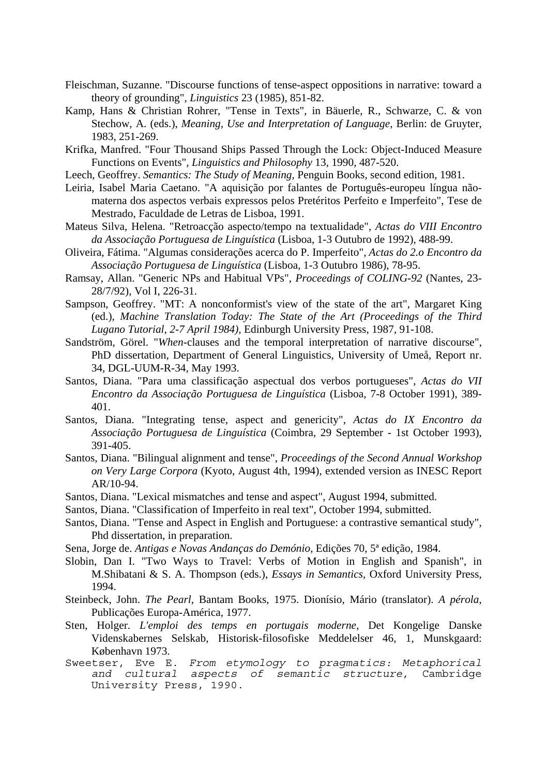- Fleischman, Suzanne. "Discourse functions of tense-aspect oppositions in narrative: toward a theory of grounding", *Linguistics* 23 (1985), 851-82.
- Kamp, Hans & Christian Rohrer, "Tense in Texts", in Bäuerle, R., Schwarze, C. & von Stechow, A. (eds.), *Meaning, Use and Interpretation of Language,* Berlin: de Gruyter, 1983, 251-269.
- Krifka, Manfred. "Four Thousand Ships Passed Through the Lock: Object-Induced Measure Functions on Events", *Linguistics and Philosophy* 13, 1990, 487-520.
- Leech, Geoffrey. *Semantics: The Study of Meaning,* Penguin Books, second edition, 1981.
- Leiria, Isabel Maria Caetano. "A aquisição por falantes de Português-europeu língua nãomaterna dos aspectos verbais expressos pelos Pretéritos Perfeito e Imperfeito", Tese de Mestrado, Faculdade de Letras de Lisboa, 1991.
- Mateus Silva, Helena. "Retroacção aspecto/tempo na textualidade", *Actas do VIII Encontro da Associação Portuguesa de Linguística* (Lisboa, 1-3 Outubro de 1992), 488-99.
- Oliveira, Fátima. "Algumas considerações acerca do P. Imperfeito", *Actas do 2.o Encontro da Associação Portuguesa de Linguística* (Lisboa, 1-3 Outubro 1986), 78-95.
- Ramsay, Allan. "Generic NPs and Habitual VPs", *Proceedings of COLING-92* (Nantes, 23- 28/7/92), Vol I, 226-31.
- Sampson, Geoffrey. "MT: A nonconformist's view of the state of the art", Margaret King (ed.), *Machine Translation Today: The State of the Art (Proceedings of the Third Lugano Tutorial, 2-7 April 1984),* Edinburgh University Press, 1987, 91-108.
- Sandström, Görel. "*When*-clauses and the temporal interpretation of narrative discourse", PhD dissertation, Department of General Linguistics, University of Umeå, Report nr. 34, DGL-UUM-R-34, May 1993.
- Santos, Diana. "Para uma classificação aspectual dos verbos portugueses", *Actas do VII Encontro da Associação Portuguesa de Linguística* (Lisboa, 7-8 October 1991), 389- 401.
- Santos, Diana. "Integrating tense, aspect and genericity", *Actas do IX Encontro da Associação Portuguesa de Linguística* (Coimbra, 29 September - 1st October 1993), 391-405.
- Santos, Diana. "Bilingual alignment and tense", *Proceedings of the Second Annual Workshop on Very Large Corpora* (Kyoto, August 4th, 1994), extended version as INESC Report AR/10-94.
- Santos, Diana. "Lexical mismatches and tense and aspect", August 1994, submitted.
- Santos, Diana. "Classification of Imperfeito in real text", October 1994, submitted.
- Santos, Diana. "Tense and Aspect in English and Portuguese: a contrastive semantical study", Phd dissertation, in preparation.
- Sena, Jorge de. *Antigas e Novas Andanças do Demónio*, Edições 70, 5ª edição, 1984.
- Slobin, Dan I. "Two Ways to Travel: Verbs of Motion in English and Spanish", in M.Shibatani & S. A. Thompson (eds.), *Essays in Semantics,* Oxford University Press, 1994.
- Steinbeck, John. *The Pearl*, Bantam Books, 1975. Dionísio, Mário (translator). *A pérola*, Publicações Europa-América, 1977.
- Sten, Holger. *L'emploi des temps en portugais moderne,* Det Kongelige Danske Videnskabernes Selskab, Historisk-filosofiske Meddelelser 46, 1, Munskgaard: København 1973.
- Sweetser, Eve E. *From etymology to pragmatics: Metaphorical and cultural aspects of semantic structure*, Cambridge University Press, 1990.